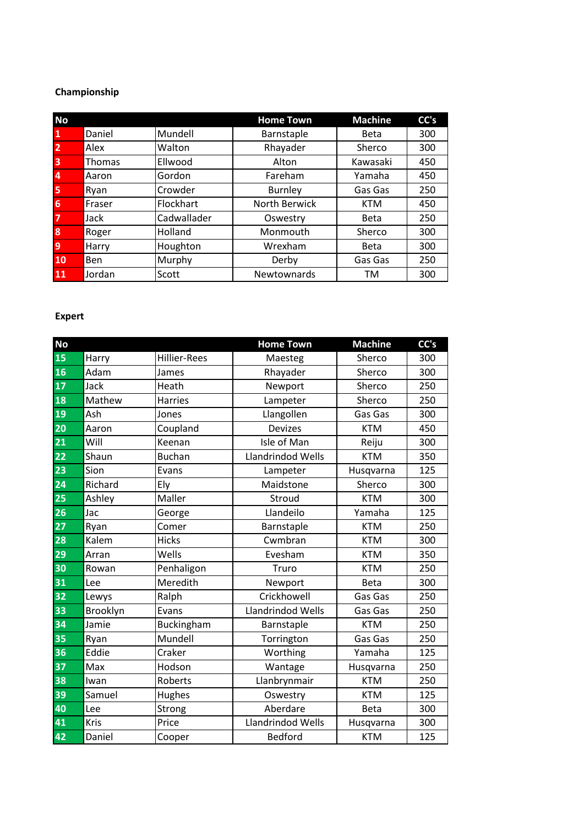# **Championship**

| <b>No</b>               |               |             | <b>Home Town</b> | <b>Machine</b> | CC's |
|-------------------------|---------------|-------------|------------------|----------------|------|
| $\overline{\mathbf{1}}$ | Daniel        | Mundell     | Barnstaple       | <b>Beta</b>    | 300  |
| $\overline{2}$          | Alex          | Walton      | Rhayader         | Sherco         | 300  |
| $\overline{\mathbf{3}}$ | <b>Thomas</b> | Ellwood     | Alton            | Kawasaki       | 450  |
| $\overline{4}$          | Aaron         | Gordon      | Fareham          | Yamaha         | 450  |
| 5                       | Ryan          | Crowder     | <b>Burnley</b>   | Gas Gas        | 250  |
| 6                       | Fraser        | Flockhart   | North Berwick    | <b>KTM</b>     | 450  |
| $\overline{7}$          | Jack          | Cadwallader | Oswestry         | <b>Beta</b>    | 250  |
| 8                       | Roger         | Holland     | Monmouth         | Sherco         | 300  |
| 9                       | Harry         | Houghton    | Wrexham          | <b>Beta</b>    | 300  |
| 10                      | Ben           | Murphy      | Derby            | Gas Gas        | 250  |
| 11                      | Jordan        | Scott       | Newtownards      | ΤM             | 300  |

### **Expert**

| <b>No</b>       |          |                     | <b>Home Town</b>  | <b>Machine</b> | CC's |
|-----------------|----------|---------------------|-------------------|----------------|------|
| 15              | Harry    | <b>Hillier-Rees</b> | Maesteg           | Sherco         | 300  |
| 16              | Adam     | James               | Rhayader          | Sherco         | 300  |
| $\overline{17}$ | Jack     | Heath               | Newport           | Sherco         | 250  |
| 18              | Mathew   | <b>Harries</b>      | Lampeter          | Sherco         | 250  |
| 19              | Ash      | Jones               | Llangollen        | Gas Gas        | 300  |
| 20              | Aaron    | Coupland            | <b>Devizes</b>    | <b>KTM</b>     | 450  |
| 21              | Will     | Keenan              | Isle of Man       | Reiju          | 300  |
| $\overline{22}$ | Shaun    | <b>Buchan</b>       | Llandrindod Wells | <b>KTM</b>     | 350  |
| 23              | Sion     | Evans               | Lampeter          | Husqvarna      | 125  |
| 24              | Richard  | Ely                 | Maidstone         | Sherco         | 300  |
| 25              | Ashley   | Maller              | Stroud            | <b>KTM</b>     | 300  |
| 26              | Jac      | George              | Llandeilo         | Yamaha         | 125  |
| 27              | Ryan     | Comer               | Barnstaple        | <b>KTM</b>     | 250  |
| 28              | Kalem    | <b>Hicks</b>        | Cwmbran           | <b>KTM</b>     | 300  |
| 29              | Arran    | Wells               | Evesham           | <b>KTM</b>     | 350  |
| 30              | Rowan    | Penhaligon          | Truro             | <b>KTM</b>     | 250  |
| 31              | Lee      | Meredith            | Newport           | <b>Beta</b>    | 300  |
| 32              | Lewys    | Ralph               | Crickhowell       | Gas Gas        | 250  |
| 33              | Brooklyn | Evans               | Llandrindod Wells | Gas Gas        | 250  |
| 34              | Jamie    | Buckingham          | Barnstaple        | <b>KTM</b>     | 250  |
| 35              | Ryan     | Mundell             | Torrington        | Gas Gas        | 250  |
| 36              | Eddie    | Craker              | Worthing          | Yamaha         | 125  |
| 37              | Max      | Hodson              | Wantage           | Husqvarna      | 250  |
| 38              | Iwan     | Roberts             | Llanbrynmair      | <b>KTM</b>     | 250  |
| 39              | Samuel   | Hughes              | Oswestry          | <b>KTM</b>     | 125  |
| 40              | Lee      | Strong              | Aberdare          | <b>Beta</b>    | 300  |
| 41              | Kris     | Price               | Llandrindod Wells | Husqvarna      | 300  |
| 42              | Daniel   | Cooper              | <b>Bedford</b>    | <b>KTM</b>     | 125  |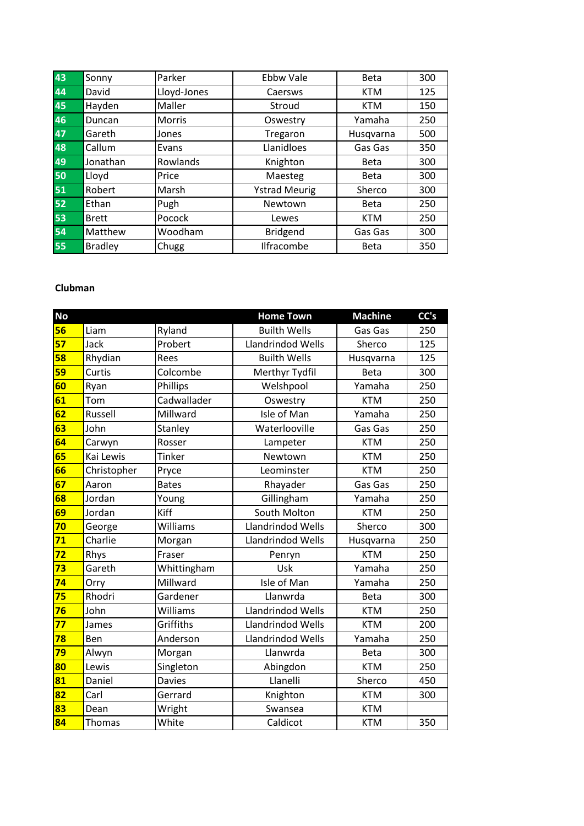| 43 | Sonny          | Parker        | <b>Ebbw Vale</b>     | <b>Beta</b> | 300 |
|----|----------------|---------------|----------------------|-------------|-----|
| 44 | David          | Lloyd-Jones   | Caersws              | <b>KTM</b>  | 125 |
| 45 | Hayden         | Maller        | Stroud               | <b>KTM</b>  | 150 |
| 46 | Duncan         | <b>Morris</b> | Oswestry             | Yamaha      | 250 |
| 47 | Gareth         | Jones         | Tregaron             | Husqvarna   | 500 |
| 48 | Callum         | Evans         | Llanidloes           | Gas Gas     | 350 |
| 49 | Jonathan       | Rowlands      | Knighton             | <b>Beta</b> | 300 |
| 50 | Lloyd          | Price         | Maesteg              | <b>Beta</b> | 300 |
| 51 | Robert         | Marsh         | <b>Ystrad Meurig</b> | Sherco      | 300 |
| 52 | Ethan          | Pugh          | Newtown              | <b>Beta</b> | 250 |
| 53 | <b>Brett</b>   | Pocock        | Lewes                | <b>KTM</b>  | 250 |
| 54 | Matthew        | Woodham       | <b>Bridgend</b>      | Gas Gas     | 300 |
| 55 | <b>Bradley</b> | Chugg         | Ilfracombe           | <b>Beta</b> | 350 |

## **Clubman**

| <b>No</b> |             |              | <b>Home Town</b>    | <b>Machine</b> | CC's |
|-----------|-------------|--------------|---------------------|----------------|------|
| 56        | Liam        | Ryland       | <b>Builth Wells</b> | Gas Gas        | 250  |
| 57        | Jack        | Probert      | Llandrindod Wells   | Sherco         | 125  |
| 58        | Rhydian     | Rees         | <b>Builth Wells</b> | Husqvarna      | 125  |
| 59        | Curtis      | Colcombe     | Merthyr Tydfil      | <b>Beta</b>    | 300  |
| 60        | Ryan        | Phillips     | Welshpool           | Yamaha         | 250  |
| 61        | Tom         | Cadwallader  | Oswestry            | <b>KTM</b>     | 250  |
| 62        | Russell     | Millward     | Isle of Man         | Yamaha         | 250  |
| 63        | John        | Stanley      | Waterlooville       | Gas Gas        | 250  |
| 64        | Carwyn      | Rosser       | Lampeter            | <b>KTM</b>     | 250  |
| 65        | Kai Lewis   | Tinker       | Newtown             | <b>KTM</b>     | 250  |
| 66        | Christopher | Pryce        | Leominster          | <b>KTM</b>     | 250  |
| 67        | Aaron       | <b>Bates</b> | Rhayader            | Gas Gas        | 250  |
| 68        | Jordan      | Young        | Gillingham          | Yamaha         | 250  |
| 69        | Jordan      | Kiff         | South Molton        | <b>KTM</b>     | 250  |
| 70        | George      | Williams     | Llandrindod Wells   | Sherco         | 300  |
| 71        | Charlie     | Morgan       | Llandrindod Wells   | Husqvarna      | 250  |
| 72        | Rhys        | Fraser       | Penryn              | <b>KTM</b>     | 250  |
| 73        | Gareth      | Whittingham  | Usk                 | Yamaha         | 250  |
| 74        | Orry        | Millward     | Isle of Man         | Yamaha         | 250  |
| 75        | Rhodri      | Gardener     | Llanwrda            | <b>Beta</b>    | 300  |
| 76        | John        | Williams     | Llandrindod Wells   | <b>KTM</b>     | 250  |
| 77        | James       | Griffiths    | Llandrindod Wells   | <b>KTM</b>     | 200  |
| 78        | Ben         | Anderson     | Llandrindod Wells   | Yamaha         | 250  |
| 79        | Alwyn       | Morgan       | Llanwrda            | <b>Beta</b>    | 300  |
| 80        | Lewis       | Singleton    | Abingdon            | <b>KTM</b>     | 250  |
| 81        | Daniel      | Davies       | Llanelli            | Sherco         | 450  |
| 82        | Carl        | Gerrard      | Knighton            | <b>KTM</b>     | 300  |
| 83        | Dean        | Wright       | Swansea             | <b>KTM</b>     |      |
| 84        | Thomas      | White        | Caldicot            | <b>KTM</b>     | 350  |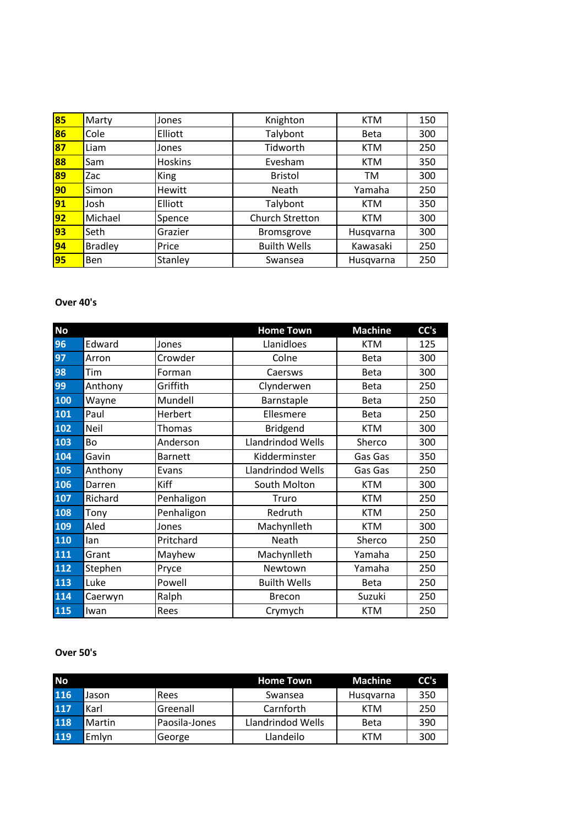| 85              | Marty          | Jones          | Knighton               | <b>KTM</b>  | 150 |
|-----------------|----------------|----------------|------------------------|-------------|-----|
| 86              | Cole           | Elliott        | Talybont               | <b>Beta</b> | 300 |
| 87              | Liam           | Jones          | Tidworth               | <b>KTM</b>  | 250 |
| 88              | Sam            | <b>Hoskins</b> | Evesham                | <b>KTM</b>  | 350 |
| 89              | Zac            | <b>King</b>    | <b>Bristol</b>         | TM          | 300 |
| 90              | Simon          | Hewitt         | Neath                  | Yamaha      | 250 |
| $\overline{91}$ | Josh           | Elliott        | Talybont               | <b>KTM</b>  | 350 |
| 92              | Michael        | Spence         | <b>Church Stretton</b> | <b>KTM</b>  | 300 |
| 93              | Seth           | Grazier        | <b>Bromsgrove</b>      | Husqvarna   | 300 |
| $\overline{94}$ | <b>Bradley</b> | Price          | <b>Builth Wells</b>    | Kawasaki    | 250 |
| 95              | <b>Ben</b>     | Stanley        | Swansea                | Husqvarna   | 250 |

#### **Over 40's**

| <b>No</b> |             |                | <b>Home Town</b>    | <b>Machine</b> | CC's |
|-----------|-------------|----------------|---------------------|----------------|------|
| 96        | Edward      | Jones          | Llanidloes          | <b>KTM</b>     | 125  |
| 97        | Arron       | Crowder        | Colne               | Beta           | 300  |
| 98        | Tim         | Forman         | Caersws             | <b>Beta</b>    | 300  |
| 99        | Anthony     | Griffith       | Clynderwen          | Beta           | 250  |
| 100       | Wayne       | Mundell        | Barnstaple          | <b>Beta</b>    | 250  |
| 101       | Paul        | Herbert        | Ellesmere           | <b>Beta</b>    | 250  |
| 102       | <b>Neil</b> | <b>Thomas</b>  | <b>Bridgend</b>     | <b>KTM</b>     | 300  |
| 103       | Bo          | Anderson       | Llandrindod Wells   | Sherco         | 300  |
| 104       | Gavin       | <b>Barnett</b> | Kidderminster       | Gas Gas        | 350  |
| 105       | Anthony     | Evans          | Llandrindod Wells   | Gas Gas        | 250  |
| 106       | Darren      | Kiff           | South Molton        | <b>KTM</b>     | 300  |
| 107       | Richard     | Penhaligon     | Truro               | <b>KTM</b>     | 250  |
| 108       | Tony        | Penhaligon     | Redruth             | <b>KTM</b>     | 250  |
| 109       | Aled        | Jones          | Machynlleth         | <b>KTM</b>     | 300  |
| 110       | lan         | Pritchard      | Neath               | Sherco         | 250  |
| 111       | Grant       | Mayhew         | Machynlleth         | Yamaha         | 250  |
| 112       | Stephen     | Pryce          | Newtown             | Yamaha         | 250  |
| 113       | Luke        | Powell         | <b>Builth Wells</b> | <b>Beta</b>    | 250  |
| 114       | Caerwyn     | Ralph          | <b>Brecon</b>       | Suzuki         | 250  |
| 115       | Iwan        | Rees           | Crymych             | <b>KTM</b>     | 250  |

### **Over 50's**

| <b>No</b> |        |                 | <b>Home Town</b>  | <b>Machine</b> | CC's |
|-----------|--------|-----------------|-------------------|----------------|------|
| 116       | Jason  | Rees            | Swansea           | Husgvarna      | 350  |
| 117       | Karl   | <b>Greenall</b> | Carnforth         | KTM            | 250  |
| 118       | Martin | Paosila-Jones   | Llandrindod Wells | <b>Beta</b>    | 390  |
| 119       | Emlyn  | George          | Llandeilo         | KTM            | 300  |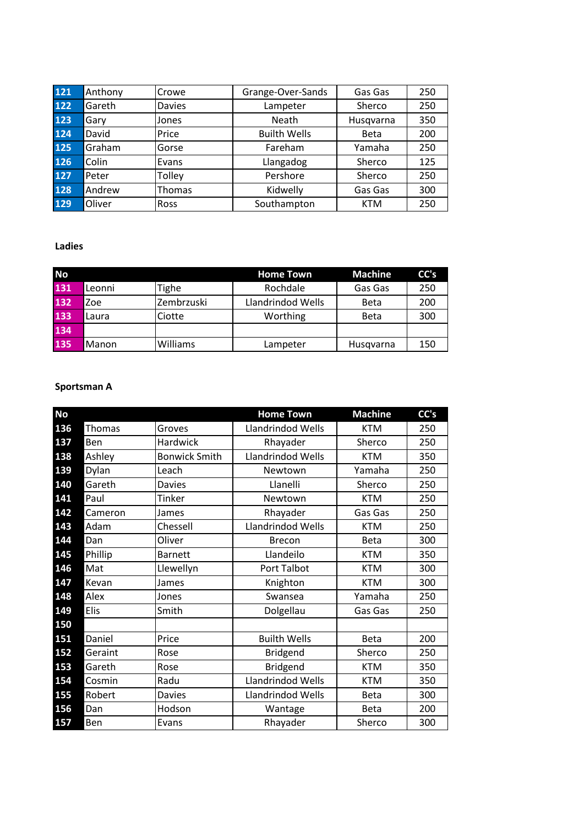| 121 | Anthony | Crowe         | Grange-Over-Sands   | Gas Gas     | 250 |
|-----|---------|---------------|---------------------|-------------|-----|
| 122 | Gareth  | <b>Davies</b> | Lampeter            | Sherco      | 250 |
| 123 | Gary    | Jones         | Neath               | Husqvarna   | 350 |
| 124 | David   | Price         | <b>Builth Wells</b> | <b>Beta</b> | 200 |
| 125 | Graham  | Gorse         | Fareham             | Yamaha      | 250 |
| 126 | Colin   | Evans         | Llangadog           | Sherco      | 125 |
| 127 | Peter   | Tolley        | Pershore            | Sherco      | 250 |
| 128 | Andrew  | Thomas        | Kidwelly            | Gas Gas     | 300 |
| 129 | Oliver  | <b>Ross</b>   | Southampton         | <b>KTM</b>  | 250 |

### **Ladies**

| <b>No</b> |        |            | <b>Home Town</b>  | <b>Machine</b> | CC's |
|-----------|--------|------------|-------------------|----------------|------|
| 131       | Leonni | Tighe      | Rochdale          | Gas Gas        | 250  |
| 132       | Zoe    | Zembrzuski | Llandrindod Wells | <b>Beta</b>    | 200  |
| 133       | Laura  | Ciotte     | Worthing          | <b>Beta</b>    | 300  |
| 134       |        |            |                   |                |      |
| 135       | Manon  | Williams   | Lampeter          | Husqvarna      | 150  |

#### **Sportsman A**

| <b>No</b>            |                      | <b>Home Town</b>         | <b>Machine</b> | CC's |
|----------------------|----------------------|--------------------------|----------------|------|
| 136<br><b>Thomas</b> | Groves               | <b>Llandrindod Wells</b> | <b>KTM</b>     | 250  |
| 137<br>Ben           | <b>Hardwick</b>      | Rhayader                 | Sherco         | 250  |
| 138<br>Ashley        | <b>Bonwick Smith</b> | <b>Llandrindod Wells</b> | <b>KTM</b>     | 350  |
| 139<br>Dylan         | Leach                | Newtown                  | Yamaha         | 250  |
| 140<br>Gareth        | <b>Davies</b>        | Llanelli                 | Sherco         | 250  |
| 141<br>Paul          | <b>Tinker</b>        | Newtown                  | <b>KTM</b>     | 250  |
| 142<br>Cameron       | James                | Rhayader                 | Gas Gas        | 250  |
| 143<br>Adam          | Chessell             | Llandrindod Wells        | <b>KTM</b>     | 250  |
| 144<br>Dan           | Oliver               | <b>Brecon</b>            | <b>Beta</b>    | 300  |
| Phillip<br>145       | <b>Barnett</b>       | Llandeilo                | <b>KTM</b>     | 350  |
| 146<br>Mat           | Llewellyn            | Port Talbot              | <b>KTM</b>     | 300  |
| 147<br>Kevan         | James                | Knighton                 | <b>KTM</b>     | 300  |
| 148<br>Alex          | Jones                | Swansea                  | Yamaha         | 250  |
| 149<br>Elis          | Smith                | Dolgellau                | Gas Gas        | 250  |
| 150                  |                      |                          |                |      |
| 151<br>Daniel        | Price                | <b>Builth Wells</b>      | <b>Beta</b>    | 200  |
| 152<br>Geraint       | Rose                 | <b>Bridgend</b>          | Sherco         | 250  |
| 153<br>Gareth        | Rose                 | <b>Bridgend</b>          | <b>KTM</b>     | 350  |
| 154<br>Cosmin        | Radu                 | Llandrindod Wells        | <b>KTM</b>     | 350  |
| 155<br>Robert        | <b>Davies</b>        | <b>Llandrindod Wells</b> | <b>Beta</b>    | 300  |
| 156<br>Dan           | Hodson               | Wantage                  | <b>Beta</b>    | 200  |
| 157<br>Ben           | Evans                | Rhayader                 | Sherco         | 300  |